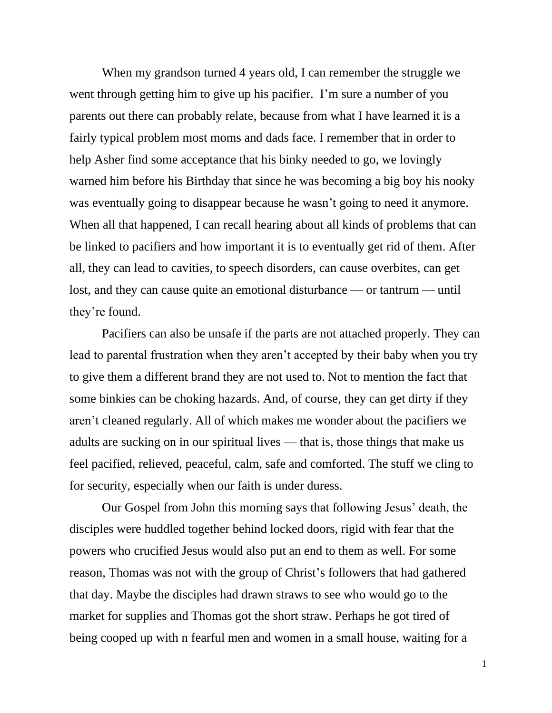When my grandson turned 4 years old, I can remember the struggle we went through getting him to give up his pacifier. I'm sure a number of you parents out there can probably relate, because from what I have learned it is a fairly typical problem most moms and dads face. I remember that in order to help Asher find some acceptance that his binky needed to go, we lovingly warned him before his Birthday that since he was becoming a big boy his nooky was eventually going to disappear because he wasn't going to need it anymore. When all that happened, I can recall hearing about all kinds of problems that can be linked to pacifiers and how important it is to eventually get rid of them. After all, they can lead to cavities, to speech disorders, can cause overbites, can get lost, and they can cause quite an emotional disturbance — or tantrum — until they're found.

Pacifiers can also be unsafe if the parts are not attached properly. They can lead to parental frustration when they aren't accepted by their baby when you try to give them a different brand they are not used to. Not to mention the fact that some binkies can be choking hazards. And, of course, they can get dirty if they aren't cleaned regularly. All of which makes me wonder about the pacifiers we adults are sucking on in our spiritual lives — that is, those things that make us feel pacified, relieved, peaceful, calm, safe and comforted. The stuff we cling to for security, especially when our faith is under duress.

Our Gospel from John this morning says that following Jesus' death, the disciples were huddled together behind locked doors, rigid with fear that the powers who crucified Jesus would also put an end to them as well. For some reason, Thomas was not with the group of Christ's followers that had gathered that day. Maybe the disciples had drawn straws to see who would go to the market for supplies and Thomas got the short straw. Perhaps he got tired of being cooped up with n fearful men and women in a small house, waiting for a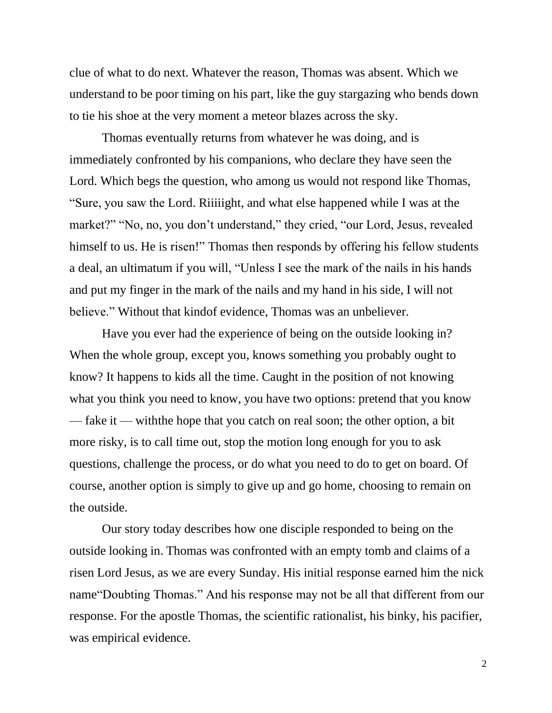clue of what to do next. Whatever the reason, Thomas was absent. Which we understand to be poor timing on his part, like the guy stargazing who bends down to tie his shoe at the very moment a meteor blazes across the sky.

Thomas eventually returns from whatever he was doing, and is immediately confronted by his companions, who declare they have seen the Lord. Which begs the question, who among us would not respond like Thomas, "Sure, you saw the Lord. Riiiiight, and what else happened while I was at the market?" "No, no, you don't understand," they cried, "our Lord, Jesus, revealed himself to us. He is risen!" Thomas then responds by offering his fellow students a deal, an ultimatum if you will, "Unless I see the mark of the nails in his hands and put my finger in the mark of the nails and my hand in his side, I will not believe." Without that kindof evidence, Thomas was an unbeliever.

Have you ever had the experience of being on the outside looking in? When the whole group, except you, knows something you probably ought to know? It happens to kids all the time. Caught in the position of not knowing what you think you need to know, you have two options: pretend that you know — fake it — withthe hope that you catch on real soon; the other option, a bit more risky, is to call time out, stop the motion long enough for you to ask questions, challenge the process, or do what you need to do to get on board. Of course, another option is simply to give up and go home, choosing to remain on the outside.

Our story today describes how one disciple responded to being on the outside looking in. Thomas was confronted with an empty tomb and claims of a risen Lord Jesus, as we are every Sunday. His initial response earned him the nick name"Doubting Thomas." And his response may not be all that different from our response. For the apostle Thomas, the scientific rationalist, his binky, his pacifier, was empirical evidence.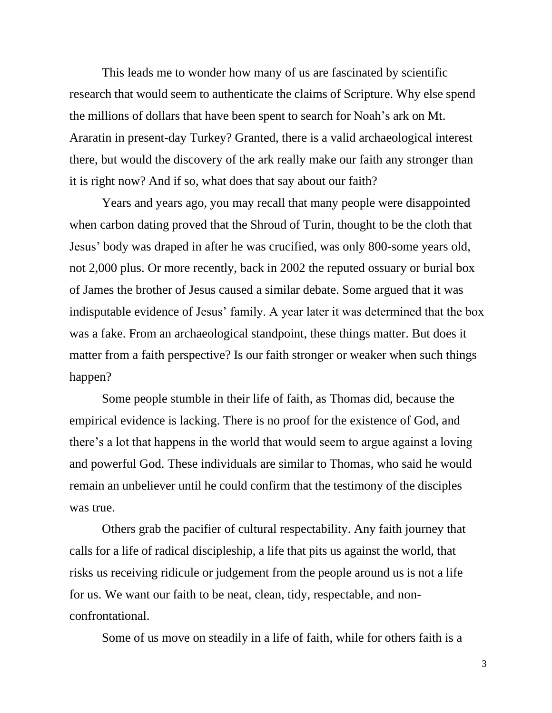This leads me to wonder how many of us are fascinated by scientific research that would seem to authenticate the claims of Scripture. Why else spend the millions of dollars that have been spent to search for Noah's ark on Mt. Araratin in present-day Turkey? Granted, there is a valid archaeological interest there, but would the discovery of the ark really make our faith any stronger than it is right now? And if so, what does that say about our faith?

Years and years ago, you may recall that many people were disappointed when carbon dating proved that the Shroud of Turin, thought to be the cloth that Jesus' body was draped in after he was crucified, was only 800-some years old, not 2,000 plus. Or more recently, back in 2002 the reputed ossuary or burial box of James the brother of Jesus caused a similar debate. Some argued that it was indisputable evidence of Jesus' family. A year later it was determined that the box was a fake. From an archaeological standpoint, these things matter. But does it matter from a faith perspective? Is our faith stronger or weaker when such things happen?

Some people stumble in their life of faith, as Thomas did, because the empirical evidence is lacking. There is no proof for the existence of God, and there's a lot that happens in the world that would seem to argue against a loving and powerful God. These individuals are similar to Thomas, who said he would remain an unbeliever until he could confirm that the testimony of the disciples was true.

Others grab the pacifier of cultural respectability. Any faith journey that calls for a life of radical discipleship, a life that pits us against the world, that risks us receiving ridicule or judgement from the people around us is not a life for us. We want our faith to be neat, clean, tidy, respectable, and nonconfrontational.

Some of us move on steadily in a life of faith, while for others faith is a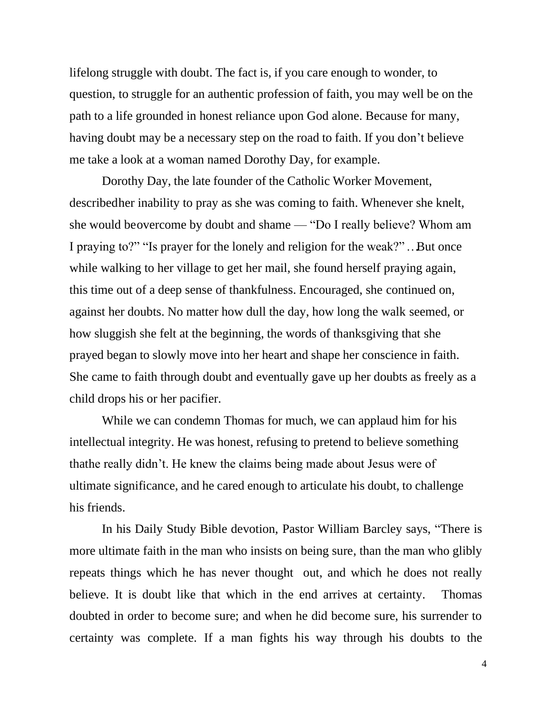lifelong struggle with doubt. The fact is, if you care enough to wonder, to question, to struggle for an authentic profession of faith, you may well be on the path to a life grounded in honest reliance upon God alone. Because for many, having doubt may be a necessary step on the road to faith. If you don't believe me take a look at a woman named Dorothy Day, for example.

Dorothy Day, the late founder of the Catholic Worker Movement, described her inability to pray as she was coming to faith. Whenever she knelt, she would be overcome by doubt and shame — "Do I really believe? Whom am I praying to?" "Is prayer for the lonely and religion for the weak?" …. But once while walking to her village to get her mail, she found herself praying again, this time out of a deep sense of thankfulness. Encouraged, she continued on, against her doubts. No matter how dull the day, how long the walk seemed, or how sluggish she felt at the beginning, the words of thanksgiving that she prayed began to slowly move into her heart and shape her conscience in faith. She came to faith through doubt and eventually gave up her doubts as freely as a child drops his or her pacifier.

While we can condemn Thomas for much, we can applaud him for his intellectual integrity. He was honest, refusing to pretend to believe something thathe really didn't. He knew the claims being made about Jesus were of ultimate significance, and he cared enough to articulate his doubt, to challenge his friends.

In his Daily Study Bible devotion, Pastor William Barcley says, "There is more ultimate faith in the man who insists on being sure, than the man who glibly repeats things which he has never thought out, and which he does not really believe. It is doubt like that which in the end arrives at certainty. Thomas doubted in order to become sure; and when he did become sure, his surrender to certainty was complete. If a man fights his way through his doubts to the